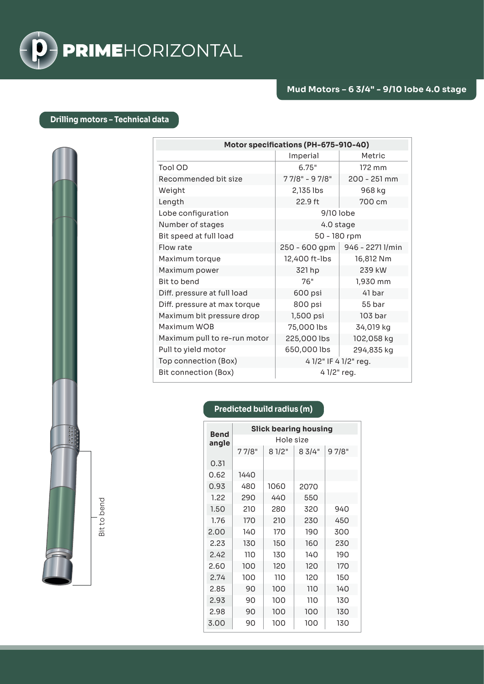

## **Drilling motors – Technical data**

| Motor specifications (PH-675-910-40) |                       |                  |  |  |
|--------------------------------------|-----------------------|------------------|--|--|
|                                      | Imperial              | Metric           |  |  |
| Tool OD                              | 6.75"                 | 172 mm           |  |  |
| Recommended bit size                 | 77/8" - 97/8"         | 200 - 251 mm     |  |  |
| Weight                               | 2,135 lbs             | 968 kg           |  |  |
| Length                               | 22.9 ft               | 700 cm           |  |  |
| Lobe configuration                   | 9/10 lobe             |                  |  |  |
| Number of stages                     | 4.0 stage             |                  |  |  |
| Bit speed at full load               | 50 - 180 rpm          |                  |  |  |
| Flow rate                            | 250 - 600 gpm         | 946 - 2271 I/min |  |  |
| Maximum torque                       | 12,400 ft-lbs         | 16,812 Nm        |  |  |
| Maximum power                        | 321 hp                | 239 kW           |  |  |
| Bit to bend                          | 76"                   | 1,930 mm         |  |  |
| Diff. pressure at full load          | 600 psi               | 41 bar           |  |  |
| Diff. pressure at max torque         | 800 psi               | 55 bar           |  |  |
| Maximum bit pressure drop            | 1,500 psi             | 103 bar          |  |  |
| Maximum WOB                          | 75,000 lbs            | 34,019 kg        |  |  |
| Maximum pull to re-run motor         | 225,000 lbs           | 102,058 kg       |  |  |
| Pull to yield motor                  | 650,000 lbs           | 294,835 kg       |  |  |
| Top connection (Box)                 | 4 1/2" IF 4 1/2" reg. |                  |  |  |
| Bit connection (Box)                 | 4 1/2" reg.           |                  |  |  |

## **Predicted build radius (m)**

| <b>Bend</b><br>angle | <b>Slick bearing housing</b> |       |        |        |  |
|----------------------|------------------------------|-------|--------|--------|--|
|                      | Hole size                    |       |        |        |  |
|                      | 77/8"                        | 81/2" | 8 3/4" | 9 7/8" |  |
| 0.31                 |                              |       |        |        |  |
| 0.62                 | 1440                         |       |        |        |  |
| 0.93                 | 480                          | 1060  | 2070   |        |  |
| 1.22                 | 290                          | 440   | 550    |        |  |
| 1.50                 | 210                          | 280   | 320    | 940    |  |
| 1.76                 | 170                          | 210   | 230    | 450    |  |
| 2.00                 | 140                          | 170   | 190    | 300    |  |
| 2.23                 | 130                          | 150   | 160    | 230    |  |
| 2.42                 | 110                          | 130   | 140    | 190    |  |
| 2.60                 | 100                          | 120   | 120    | 170    |  |
| 2.74                 | 100                          | 110   | 120    | 150    |  |
| 2.85                 | 90                           | 100   | 110    | 140    |  |
| 2.93                 | 90                           | 100   | 110    | 130    |  |
| 2.98                 | 90                           | 100   | 100    | 130    |  |
| 3.00                 | 90                           | 100   | 100    | 130    |  |

Bit to bend Bit to bend